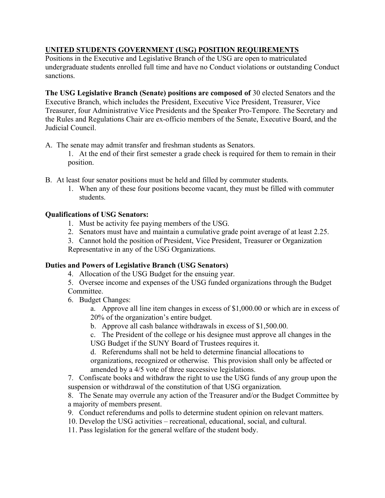## **UNITED STUDENTS GOVERNMENT (USG) POSITION REQUIREMENTS**

Positions in the Executive and Legislative Branch of the USG are open to matriculated undergraduate students enrolled full time and have no Conduct violations or outstanding Conduct sanctions.

**The USG Legislative Branch (Senate) positions are composed of** 30 elected Senators and the Executive Branch, which includes the President, Executive Vice President, Treasurer, Vice Treasurer, four Administrative Vice Presidents and the Speaker Pro-Tempore. The Secretary and the Rules and Regulations Chair are ex-officio members of the Senate, Executive Board, and the Judicial Council.

- A. The senate may admit transfer and freshman students as Senators.
	- 1. At the end of their first semester a grade check is required for them to remain in their position.
- B. At least four senator positions must be held and filled by commuter students.
	- 1. When any of these four positions become vacant, they must be filled with commuter students.

## **Qualifications of USG Senators:**

- 1. Must be activity fee paying members of the USG.
- 2. Senators must have and maintain a cumulative grade point average of at least 2.25.
- 3. Cannot hold the position of President, Vice President, Treasurer or Organization Representative in any of the USG Organizations.

## **Duties and Powers of Legislative Branch (USG Senators)**

- 4. Allocation of the USG Budget for the ensuing year.
- 5. Oversee income and expenses of the USG funded organizations through the Budget Committee.
- 6. Budget Changes:

a. Approve all line item changes in excess of \$1,000.00 or which are in excess of 20% of the organization's entire budget.

b. Approve all cash balance withdrawals in excess of \$1,500.00.

c. The President of the college or his designee must approve all changes in the USG Budget if the SUNY Board of Trustees requires it.

d. Referendums shall not be held to determine financial allocations to organizations, recognized or otherwise. This provision shall only be affected or amended by a 4/5 vote of three successive legislations.

7. Confiscate books and withdraw the right to use the USG funds of any group upon the suspension or withdrawal of the constitution of that USG organization.

8. The Senate may overrule any action of the Treasurer and/or the Budget Committee by a majority of members present.

- 9. Conduct referendums and polls to determine student opinion on relevant matters.
- 10. Develop the USG activities recreational, educational, social, and cultural.
- 11. Pass legislation for the general welfare of the student body.